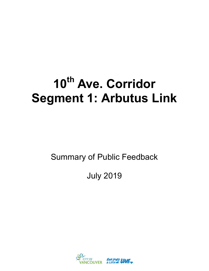# **10th Ave. Corridor Segment 1: Arbutus Link**

Summary of Public Feedback

July 2019

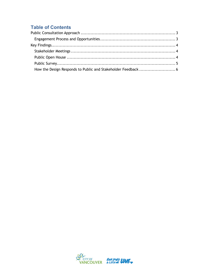# **Table of Contents**

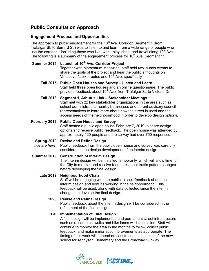# <span id="page-2-0"></span>**Public Consultation Approach**

# <span id="page-2-1"></span>**Engagement Process and Opportunities**

The approach to public engagement for the  $10<sup>th</sup>$  Ave. Corridor, Segment 1 (from Trafalgar St. to Burrard St.) was to listen to and learn from a wide range of people who use the corridor – including those who live, work, play, shop, and travel along  $10<sup>th</sup>$  Ave. The following is a summary of the engagement process for  $10<sup>th</sup>$  Ave, Segment 1:

## **Summer 2015 Launch of 10th Ave. Corridor Project**

Together with Momentum Magazine, staff held two launch events to share the goals of the project and hear the public's thoughts on Vancouver's bike routes and  $10<sup>th</sup>$  Ave. specifically.

- **Fall 2015 Public Open Houses and Survey – Listen and Learn** Staff held three open houses and an online questionnaire. The public provided feedback about 10<sup>th</sup> Ave, from Trafalgar St. to Victoria Dr.
- **Fall 2018 Segment 1, Arbutus Link – Stakeholder Meetings** Staff met with 22 key stakeholder organizations in the area such as school administrators, nearby businesses and parent advisory council representatives to learn more about how the street is used and the access needs of the neighbourhood in order to develop design options.

#### **February 2019 Public Open House and Survey** Staff hosted a public open house February 7, 2019 to share design options and receive public feedback. The open house was attended by approximately 120 people and the survey had over 750 responses.

#### **Spring 2019 Revise and Refine Design**

*(we are here)* Public feedback from the public open house and survey was carefully considered in the design development of an interim design.

#### **Summer 2019 Construction of Interim Design**

The interim design will be installed temporarily, which will allow time for the City to monitor and receive feedback about traffic pattern changes before developing the final design.

#### **Late 2019 Neighbourhood Chats**

Staff will be engaging with the public to seek feedback about the interim design and how it's working in the neighbourhood. This feedback will be used, along with data collected since the interim changes, to develop the final design.

#### **2020 Revise and Refine Design**

Public feedback about the interim design will be considered in the refinement of the final design.

## **TBD Implementation of Final Design**

A final design will be implemented and permanent street infrastructure such as raised crosswalks and bike lanes will be installed. Staff will continue to monitor the area in the months to follow, collect public feedback, and make minor spot improvements as appropriate. The timing of this work will depend on construction schedules of the new school for Tennyson Elementary and the Broadway Subway.

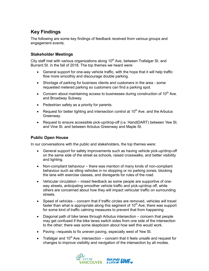# <span id="page-3-0"></span>**Key Findings**

The following are some key findings of feedback received from various groups and engagement events.

## <span id="page-3-1"></span>**Stakeholder Meetings**

City staff met with various organizations along  $10<sup>th</sup>$  Ave, between Trafalgar St. and Burrard St. in the fall of 2018. The top themes we heard were:

- General support for one-way vehicle traffic, with the hope that it will help traffic flow more smoothly and discourage double parking.
- Shortage of parking for business clients and customers in the area some requested metered parking so customers can find a parking spot.
- Concern about maintaining access to businesses during construction of  $10<sup>th</sup>$  Ave. and Broadway Subway.
- Pedestrian safety as a priority for parents.
- **•** Request for better lighting and intersection control at 10<sup>th</sup> Ave. and the Arbutus Greenway.
- Request to ensure accessible pick-up/drop-off (i.e. HandiDART) between Yew St. and Vine St. and between Arbutus Greenway and Maple St.

# <span id="page-3-2"></span>**Public Open House**

In our conversations with the public and stakeholders, the top themes were:

- General support for safety improvements such as having vehicle pick-up/drop-off on the same side of the street as schools, raised crosswalks, and better visibility and lighting.
- Non-compliant behaviour there was mention of many kinds of non-compliant behaviour such as idling vehicles in no stopping or no parking zones, blocking the lane with exercise classes, and disregards for rules of the road.
- Vehicular circulation mixed feedback as some people are supportive of oneway streets, anticipating smoother vehicle traffic and pick-up/drop off, while others are concerned about how they will impact vehicular traffic on surrounding streets.
- Speed of vehicles concern that if traffic circles are removed, vehicles will travel faster than what is appropriate along this segment of  $10<sup>th</sup>$  Ave; there was support for some kind of traffic calming measures to prevent that from happening.
- Diagonal path of bike lanes through Arbutus intersection concern that people may get confused if the bike lanes switch sides from one side of the intersection to the other; there was some skepticism about how well this would work.
- Paving –requests to fix uneven paving, especially west of Yew St.
- Trafalgar and 10<sup>th</sup> Ave. intersection concern that it feels unsafe and request for changes to improve visibility and navigation of the intersection by all modes.

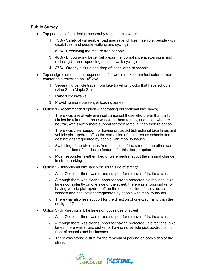## <span id="page-4-0"></span>**Public Survey**

- Top priorities of the design chosen by respondents were:
	- 1. 73% Safety of vulnerable road users (i.e. children, seniors, people with disabilities, and people walking and cycling)
	- 2. 52% Preserving the mature tree canopy
	- 3. 46% Encouraging better behaviour (i.e. compliance at stop signs and reducing U-turns, speeding and sidewalk cycling)
	- 4. 37% Orderly pick up and drop off at children at schools
- Top design elements that respondents felt would make them feel safer or more comfortable travelling on  $10<sup>th</sup>$  Ave:
	- 1. Separating vehicle travel from bike travel on blocks that have schools (Vine St. to Maple St.)
	- 2. Raised crosswalks
	- 3. Providing more passenger loading zones
- Option 1 (Recommended option alternating bidirectional bike lanes):
	- $\circ$  There was a relatively even split amongst those who prefer that traffic circles be taken out, those who want them to stay, and those who are neutral, with slightly more support for their removal than their retention.
	- o There was clear support for having protected bidirectional bike lanes and vehicle pick up/drop off on the same side of the street as schools and destinations frequented by people with mobility issues.
	- $\circ$  Switching of the bike lanes from one side of the street to the other was the least liked of the design features for this design option.
	- $\circ$  Most respondents either liked or were neutral about the minimal change in street parking.
- Option 2 (Bidirectional bike lanes on south side of street):
	- $\circ$  As in Option 1, there was mixed support for removal of traffic circles
	- $\circ$  Although there was clear support for having protected bidirectional bike lanes consistently on one side of the street, there was strong dislike for having vehicle pick up/drop off on the opposite side of the street as schools and destinations frequented by people with mobility issues.
	- $\circ$  There was also less support for the direction of one-way traffic than the design of Option 1.
- Option 3 (Unidirectional bike lanes on both sides of street):
	- $\circ$  As in Option 1, there was mixed support for removal of traffic circles
	- $\circ$  Although there was clear support for having protected unidirectional bike lanes, there was strong dislike for having no vehicle pick up/drop off in front of schools and businesses.
	- $\circ$  There was strong dislike for the removal of parking on both sides of the street.

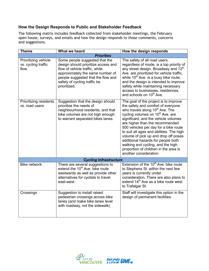# <span id="page-5-0"></span>**How the Design Responds to Public and Stakeholder Feedback**

The following matrix includes feedback collected from stakeholder meetings, the February open house, surveys, and emails and how the design responds to those comments, concerns and suggestions.

| <b>Theme</b>                                        | What we heard                                                                                                                                                                                                                     | How the design responds                                                                                                                                                                                                                                                                                                                                                                                                                                                                                                          |
|-----------------------------------------------------|-----------------------------------------------------------------------------------------------------------------------------------------------------------------------------------------------------------------------------------|----------------------------------------------------------------------------------------------------------------------------------------------------------------------------------------------------------------------------------------------------------------------------------------------------------------------------------------------------------------------------------------------------------------------------------------------------------------------------------------------------------------------------------|
|                                                     | <b>Priorities</b>                                                                                                                                                                                                                 |                                                                                                                                                                                                                                                                                                                                                                                                                                                                                                                                  |
| Prioritizing vehicle<br>vs. cycling traffic<br>flow | Some people suggested that the<br>design should prioritize access and<br>flow of vehicle traffic, while<br>approximately the same number of<br>people suggested that the flow and<br>safety of cycling traffic be<br>prioritized. | The safety of all road users,<br>regardless of mode, is a top priority of<br>any street design. Broadway and 12 <sup>th</sup><br>Ave. are prioritized for vehicle traffic,<br>while 10 <sup>th</sup> Ave. is a busy bike route,<br>and the design is intended to improve<br>safety while maintaining necessary<br>access to businesses, residences,<br>and schools on 10 <sup>th</sup> Ave.                                                                                                                                      |
| Prioritizing residents<br>vs. road users            | Suggestion that the design should<br>prioritize the needs of<br>neighbourhood residents, and that<br>bike volumes are not high enough<br>to warrant separated bikes lanes.                                                        | The goal of the project is to improve<br>the safety and comfort of everyone<br>who travels along 10 <sup>th</sup> Ave. The<br>cycling volumes on 10 <sup>th</sup> Ave. are<br>significant, and the vehicle volumes<br>are higher than the recommended<br>500 vehicles per day for a bike route<br>to suit all ages and abilities. The high<br>volume of pick up and drop off poses<br>additional hazards for people both<br>walking and cycling, and the high<br>proportion of children in the area is<br>another consideration. |
|                                                     | <b>Cycling Infrastructure</b>                                                                                                                                                                                                     |                                                                                                                                                                                                                                                                                                                                                                                                                                                                                                                                  |
| <b>Bike network</b>                                 | There are several suggestions to<br>extend the 10 <sup>th</sup> Ave. bike route<br>westwards as well as provide other<br>alternatives for cyclists to travel<br>east-west.                                                        | Extension of the 10 <sup>th</sup> Ave. bike route<br>to Stephens St. within the next few<br>years is currently under<br>consideration. There are also plans to<br>extend 14 <sup>th</sup> Ave as a bike route west<br>to Trafalgar St.                                                                                                                                                                                                                                                                                           |
| Crossings                                           | Suggestion to install raised<br>pedestrian crossings across bike<br>lanes (and make bike lanes level<br>with roadway, not the sidewalk)                                                                                           | Staff will investigate this option in the<br>design of permanent facilities.                                                                                                                                                                                                                                                                                                                                                                                                                                                     |

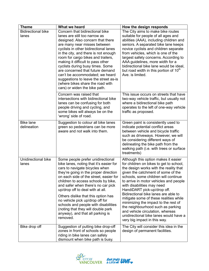| <b>Theme</b>                       | What we heard                                                                                                                                                                                                                                                                                                                                                                                                                                                                                                              | How the design responds                                                                                                                                                                                                                                                                                                                                                                                                                                                                                                                                                                     |
|------------------------------------|----------------------------------------------------------------------------------------------------------------------------------------------------------------------------------------------------------------------------------------------------------------------------------------------------------------------------------------------------------------------------------------------------------------------------------------------------------------------------------------------------------------------------|---------------------------------------------------------------------------------------------------------------------------------------------------------------------------------------------------------------------------------------------------------------------------------------------------------------------------------------------------------------------------------------------------------------------------------------------------------------------------------------------------------------------------------------------------------------------------------------------|
| <b>Bidirectional bike</b><br>lanes | Concern that bidirectional bike<br>lanes are still too narrow as<br>designed. Also concern that there<br>are many near misses between<br>cyclists in other bidirectional lanes<br>in the city, and there is not enough<br>room for cargo bikes and trailers,<br>making it difficult to pass other<br>cyclists during busy times. Some<br>are concerned that future demand<br>can't be accommodated; we heard<br>suggestions to leave the street as-is<br>(where bikes share the road with<br>cars) or widen the bike path. | The City aims to make bike routes<br>suitable for people of all ages and<br>abilities (AAA), including children and<br>seniors. A separated bike lane keeps<br>novice cyclists and children separate<br>from vehicles, which is one of the<br>largest safety concerns. According to<br>AAA guidelines, more width for a<br>bidirectional bike lane would be ideal,<br>but road width in this portion of 10 <sup>th</sup><br>Ave. is limited.                                                                                                                                                |
|                                    | Concern was raised that<br>intersections with bidirectional bike<br>lanes can be confusing for both<br>people driving and cycling, and<br>some bikes will always be on the<br>'wrong' side of road.                                                                                                                                                                                                                                                                                                                        | This issue occurs on streets that have<br>two-way vehicle traffic, but usually not<br>where a bidirectional bike path<br>operates to the left of one-way vehicle<br>traffic as proposed.                                                                                                                                                                                                                                                                                                                                                                                                    |
| <b>Bike lane</b><br>delineation    | Suggestion to colour all bike lanes<br>green so pedestrians can be more<br>aware and not walk into them.                                                                                                                                                                                                                                                                                                                                                                                                                   | Green paint is consistently used to<br>indicate potential conflict areas<br>between vehicle and bicycle traffic<br>such as driveways. However, we will<br>be considering different ways of<br>delineating the bike path from the<br>walking path (i.e. with trees or surface<br>treatments)                                                                                                                                                                                                                                                                                                 |
| Unidirectional bike<br>lanes       | Some people prefer unidirectional<br>bike lanes, noting that it's easier for<br>cars to navigate bicycles when<br>they're going in the proper direction<br>on each side of the street, easier for<br>children to access schools by bike,<br>and safer when there's no car pick<br>up/drop off to deal with at all.<br>Others dislike that this option has<br>no vehicle pick up/drop off for<br>schools and people with disabilities<br>(noting that they will double park<br>anyway), and that all parking is<br>removed. | Although this option makes it easier<br>for children on bikes to get to school,<br>the design works with the reality that<br>given the catchment of some of the<br>schools, some children will continue<br>to arrive in motor vehicles and people<br>with disabilities may need<br>HandiDART pick-up/drop off.<br>Bidirectional bike lanes are able to<br>mitigate some of these realities while<br>minimizing the impact to the rest of<br>the neighbourhood such as parking<br>and vehicle circulation, whereas<br>unidirectional bike lanes would have a<br>very big impact in this way. |
| Bike drop off                      | Suggestion of putting bike drop-off<br>zones in front of schools so people<br>riding in bike lanes can safely<br>dismount when bike path is busy.                                                                                                                                                                                                                                                                                                                                                                          | The City will consider this idea in the<br>design of permanent facilities.                                                                                                                                                                                                                                                                                                                                                                                                                                                                                                                  |

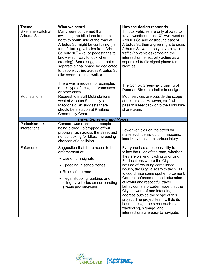| <b>Theme</b>                       | What we heard                                                                                                                                                                                                                                                                                                                                                                                                            | How the design responds                                                                                                                                                                                                                                                                                                                                                                                                                                                                                                                                                                                                  |
|------------------------------------|--------------------------------------------------------------------------------------------------------------------------------------------------------------------------------------------------------------------------------------------------------------------------------------------------------------------------------------------------------------------------------------------------------------------------|--------------------------------------------------------------------------------------------------------------------------------------------------------------------------------------------------------------------------------------------------------------------------------------------------------------------------------------------------------------------------------------------------------------------------------------------------------------------------------------------------------------------------------------------------------------------------------------------------------------------------|
| Bike lane switch at<br>Arbutus St. | Many were concerned that<br>switching the bike lane from the<br>north to south side of the road at<br>Arbutus St. might be confusing (i.e.<br>for left-turning vehicles from Arbutus<br>St. onto 10 <sup>th</sup> Ave. or pedestrians to<br>know which way to look when<br>crossing). Some suggested that a<br>separate signal phase be dedicated<br>to people cycling across Arbutus St.<br>(like scramble crosswalks). | If motor vehicles are only allowed to<br>travel westbound on 10 <sup>th</sup> Ave. west of<br>Arbutus St. and eastbound east of<br>Arbutus St, then a green light to cross<br>Arbutus St. would only have bicycle<br>traffic (no vehicles) crossing the<br>intersection, effectively acting as a<br>separated traffic signal phase for<br>bicycles.                                                                                                                                                                                                                                                                      |
|                                    | There was a request for examples<br>of this type of design in Vancouver<br>or other cities.                                                                                                                                                                                                                                                                                                                              | The Comox Greenway crossing of<br>Denman Street is similar in design.                                                                                                                                                                                                                                                                                                                                                                                                                                                                                                                                                    |
| Mobi stations                      | Request to install Mobi stations<br>west of Arbutus St, ideally to<br>Macdonald St; suggests there<br>should be a station at Kitsilano<br><b>Community Centre</b>                                                                                                                                                                                                                                                        | Mobi services are outside the scope<br>of this project. However, staff will<br>pass this feedback onto the Mobi bike<br>share team.                                                                                                                                                                                                                                                                                                                                                                                                                                                                                      |
|                                    | <b>Travel Behaviour and Modes</b>                                                                                                                                                                                                                                                                                                                                                                                        |                                                                                                                                                                                                                                                                                                                                                                                                                                                                                                                                                                                                                          |
| Pedestrian-bike<br>interactions    | Concern was raised that people<br>being picked up/dropped off will<br>probably rush across the street and<br>not be looking for bikes, increasing<br>chances of a collision.                                                                                                                                                                                                                                             | Fewer vehicles on the street will<br>make such behaviour, if it happens,<br>less likely to lead to serious injury.                                                                                                                                                                                                                                                                                                                                                                                                                                                                                                       |
| Enforcement                        | Suggestion that there needs to be<br>enforcement of:<br>• Use of turn signals<br>• Speeding in school zones<br>• Rules of the road<br>• Illegal stopping, parking, and<br>idling by vehicles on surrounding<br>streets and laneways                                                                                                                                                                                      | Everyone has a responsibility to<br>follow the rules of the road, whether<br>they are walking, cycling or driving.<br>For locations where the City is<br>notified of recurring compliance<br>issues, the City liaises with the VPD<br>to coordinate some spot enforcement.<br>General enforcement and education<br>of lawful and respectful travel<br>behaviour is a broader issue that the<br>City is aware of and intending to<br>address outside the scope of this<br>project. The project team will do its<br>best to design the street such that<br>wayfinding, signage, and<br>intersections are easy to navigate. |

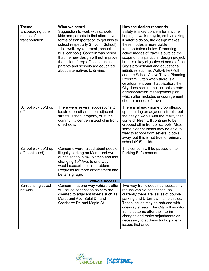| <b>Theme</b>                                    | What we heard                                                                                                                                                                                                                                                                                                                                                                             | How the design responds                                                                                                                                                                                                                                                                                                                                                                                                                                                                                                                                                                                                                                             |
|-------------------------------------------------|-------------------------------------------------------------------------------------------------------------------------------------------------------------------------------------------------------------------------------------------------------------------------------------------------------------------------------------------------------------------------------------------|---------------------------------------------------------------------------------------------------------------------------------------------------------------------------------------------------------------------------------------------------------------------------------------------------------------------------------------------------------------------------------------------------------------------------------------------------------------------------------------------------------------------------------------------------------------------------------------------------------------------------------------------------------------------|
| Encouraging other<br>modes of<br>transportation | Suggestion to work with schools,<br>kids and parents to find alternative<br>forms of transportation to get kids to<br>school (especially St. John School)<br>- i.e. walk, cycle, transit, school<br>bus, car pool). Concern was raised<br>that the new design will not improve<br>the pick-up/drop-off chaos unless<br>parents and schools are educated<br>about alternatives to driving. | Safety is a key concern for anyone<br>hoping to walk or cycle, so by making<br>it safer to do so, the design makes<br>these modes a more viable<br>transportation choice. Promoting<br>active modes of travel is outside the<br>scope of this particular design project,<br>but it is a key objective of some of the<br>City's promotional and educational<br>initiatives such as Walk+Bike+Roll<br>and the School Active Travel Planning<br>Program. Often when there is a<br>development permit application, the<br>City does require that schools create<br>a transportation management plan,<br>which often includes encouragement<br>of other modes of travel. |
| School pick up/drop<br>off                      | There were several suggestions to<br>locate drop-off areas on adjacent<br>streets, school property, or at the<br>community centre instead of in front<br>of schools.                                                                                                                                                                                                                      | There is already some drop off/pick<br>up occurring on adjacent streets, but<br>the design works with the reality that<br>some children will continue to be<br>dropped off in front of schools. Also,<br>some older students may be able to<br>walk to school from several blocks<br>away, but this is not true for primary<br>school (K-5) children.                                                                                                                                                                                                                                                                                                               |
| School pick up/drop<br>off (continued)          | Concerns were raised about people<br>illegally parking on Marstrand Ave.<br>during school pick-up times and that<br>changing 10 <sup>th</sup> Ave. to one-way<br>would exacerbate this problem.<br>Requests for more enforcement and<br>better signage.                                                                                                                                   | This concern will be passed on to<br><b>Parking Enforcement</b>                                                                                                                                                                                                                                                                                                                                                                                                                                                                                                                                                                                                     |
| <b>Vehicle Access</b>                           |                                                                                                                                                                                                                                                                                                                                                                                           |                                                                                                                                                                                                                                                                                                                                                                                                                                                                                                                                                                                                                                                                     |
| Surrounding street<br>network                   | Concern that one-way vehicle traffic<br>will cause congestion as cars are<br>diverted to adjacent streets such as<br>Marstrand Ave, Salal Dr. and<br>Cranberry Dr. and Maple St.                                                                                                                                                                                                          | Two-way traffic does not necessarily<br>reduce vehicle congestion, as<br>currently there are issues of double<br>parking and U-turns at traffic circles.<br>These issues may be reduced with<br>one-way streets. The City will monitor<br>traffic patterns after the interim<br>changes and make adjustments as<br>necessary to address traffic pattern<br>issues that arise.                                                                                                                                                                                                                                                                                       |

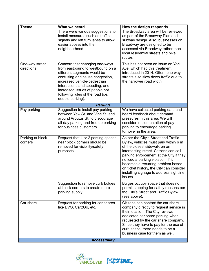| <b>Theme</b>                    | What we heard                                                                                                                                                                                                                                                                                     | How the design responds                                                                                                                                                                                                                                                                                                                |
|---------------------------------|---------------------------------------------------------------------------------------------------------------------------------------------------------------------------------------------------------------------------------------------------------------------------------------------------|----------------------------------------------------------------------------------------------------------------------------------------------------------------------------------------------------------------------------------------------------------------------------------------------------------------------------------------|
|                                 | There were various suggestions to<br>install measures such as traffic<br>signals and left turn lanes to allow<br>easier access into the<br>neighbourhood.                                                                                                                                         | The Broadway area will be reviewed<br>as part of the Broadway Plan and<br>subway design. Also, businesses on<br>Broadway are designed to be<br>accessed via Broadway rather than<br>local residential streets and bike<br>routes.                                                                                                      |
| One-way street<br>directions    | Concern that changing one-ways<br>from eastbound to westbound on a<br>different segments would be<br>confusing and cause congestion,<br>increased vehicle-pedestrian<br>interactions and speeding, and<br>increased issues of people not<br>following rules of the road (i.e.<br>double parking). | This has not been an issue on York<br>Ave, which had this treatment<br>introduced in 2014. Often, one-way<br>streets also slow down traffic due to<br>the narrower road width.                                                                                                                                                         |
| <b>Parking</b>                  |                                                                                                                                                                                                                                                                                                   |                                                                                                                                                                                                                                                                                                                                        |
| Pay parking<br>Parking at block | Suggestion to install pay parking<br>between Yew St. and Vine St. and<br>around Arbutus St. to discourage<br>all-day parking and free up parking<br>for business customers<br>Request that 1 or 2 parking spaces                                                                                  | We have collected parking data and<br>heard feedback about demand<br>pressures in this area. We will<br>consider implementation of pay<br>parking to encourage parking<br>turnover in the area.<br>As per the City's Street and Traffic                                                                                                |
| corners                         | near block corners should be<br>removed for visibility/safety<br>purposes                                                                                                                                                                                                                         | Bylaw, vehicles must park within 6 m<br>of the closest sidewalk on an<br>intersecting street. Citizens can call<br>parking enforcement at the City if they<br>noticed a parking violation. If it<br>becomes a recurring problem based<br>on ticket history, the City can consider<br>installing signage to address sightline<br>issues |
|                                 | Suggestion to remove curb bulges<br>at block corners to create more<br>parking supply                                                                                                                                                                                                             | Bulges occupy space that does not<br>permit stopping for safety reasons per<br>the City's Street and Traffic Bylaw<br>(see above).                                                                                                                                                                                                     |
| Car share                       | Request for parking for car shares<br>like EVO, Car2Go, etc.                                                                                                                                                                                                                                      | Citizens can contact the car share<br>company directly to request service in<br>their location. The City reviews<br>dedicated car share parking when<br>requested by the car share company.<br>Since they have to pay for the use of<br>curb space, there needs to be a<br>business case for them as well.                             |
| <b>Accessibility</b>            |                                                                                                                                                                                                                                                                                                   |                                                                                                                                                                                                                                                                                                                                        |

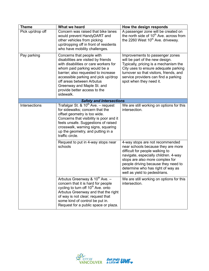| <b>Theme</b>                    | What we heard                                                                                                                                                                                                                                                                                                                   | How the design responds                                                                                                                                                                                                                                                                          |
|---------------------------------|---------------------------------------------------------------------------------------------------------------------------------------------------------------------------------------------------------------------------------------------------------------------------------------------------------------------------------|--------------------------------------------------------------------------------------------------------------------------------------------------------------------------------------------------------------------------------------------------------------------------------------------------|
| Pick up/drop off                | Concern was raised that bike lanes<br>would prevent HandyDART and<br>other vehicles from picking<br>up/dropping off in front of residents<br>who have mobility challenges.                                                                                                                                                      | A passenger zone will be created on<br>the north side of 10 <sup>th</sup> Ave. across from<br>the 2260 West 10 <sup>th</sup> Ave. driveway.                                                                                                                                                      |
| Pay parking                     | Concerns that people with<br>disabilities are visited by friends<br>with disabilities or care workers for<br>whom paid parking would be a<br>barrier; also requested to increase<br>accessible parking and pick up/drop<br>off areas between Arbutus<br>Greenway and Maple St. and<br>provide better access to the<br>sidewalk. | Improvements to passenger zones<br>will be part of the new design.<br>Typically, pricing is a mechanism the<br>City uses to ensure adequate parking<br>turnover so that visitors, friends, and<br>service providers can find a parking<br>spot when they need it.                                |
| <b>Safety and Intersections</b> |                                                                                                                                                                                                                                                                                                                                 |                                                                                                                                                                                                                                                                                                  |
| Intersections                   | Trafalgar St. & 10 <sup>th</sup> Ave. - request<br>for sidewalks; concern that the<br>offset geometry is too wide.<br>Concerns that visibility is poor and it<br>feels unsafe. Suggestions of raised<br>crosswalk, warning signs, squaring<br>up the geometry, and putting in a<br>traffic circle.                              | We are still working on options for this<br>intersection.                                                                                                                                                                                                                                        |
|                                 | Request to put in 4-way stops near<br>schools                                                                                                                                                                                                                                                                                   | 4-way stops are not recommended<br>near schools because they are more<br>difficult for people walking to<br>navigate, especially children. 4-way<br>stops are also more complex for<br>people driving because they need to<br>determine who has right of way as<br>well as yield to pedestrians. |
|                                 | Arbutus Greenway & $10^{th}$ Ave. -<br>concern that it is hard for people<br>cycling to turn off 10 <sup>th</sup> Ave. onto<br>Arbutus Greenway and that the right<br>of way is not clear; request that<br>some kind of control be put in.<br>Request for a public space or plaza.                                              | We are still working on options for this<br>intersection.                                                                                                                                                                                                                                        |